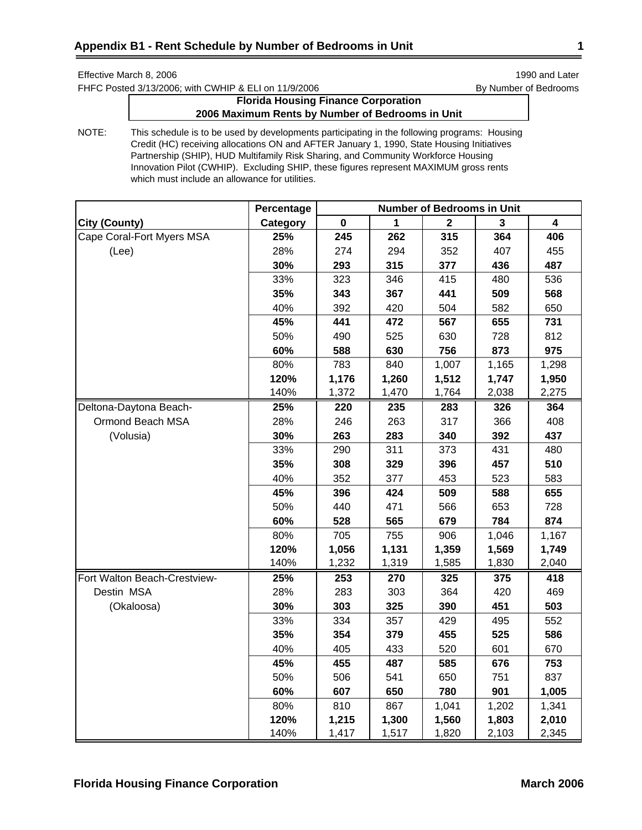FHFC Posted 3/13/2006; with CWHIP & ELI on 11/9/2006 By Number of Bedrooms

# **Florida Housing Finance Corporation 2006 Maximum Rents by Number of Bedrooms in Unit**

|                              | Percentage | <b>Number of Bedrooms in Unit</b> |       |             |       |                         |  |
|------------------------------|------------|-----------------------------------|-------|-------------|-------|-------------------------|--|
| <b>City (County)</b>         | Category   | $\pmb{0}$                         | 1     | $\mathbf 2$ | 3     | $\overline{\mathbf{4}}$ |  |
| Cape Coral-Fort Myers MSA    | 25%        | 245                               | 262   | 315         | 364   | 406                     |  |
| (Lee)                        | 28%        | 274                               | 294   | 352         | 407   | 455                     |  |
|                              | 30%        | 293                               | 315   | 377         | 436   | 487                     |  |
|                              | 33%        | 323                               | 346   | 415         | 480   | 536                     |  |
|                              | 35%        | 343                               | 367   | 441         | 509   | 568                     |  |
|                              | 40%        | 392                               | 420   | 504         | 582   | 650                     |  |
|                              | 45%        | 441                               | 472   | 567         | 655   | 731                     |  |
|                              | 50%        | 490                               | 525   | 630         | 728   | 812                     |  |
|                              | 60%        | 588                               | 630   | 756         | 873   | 975                     |  |
|                              | 80%        | 783                               | 840   | 1,007       | 1,165 | 1,298                   |  |
|                              | 120%       | 1,176                             | 1,260 | 1,512       | 1,747 | 1,950                   |  |
|                              | 140%       | 1,372                             | 1,470 | 1,764       | 2,038 | 2,275                   |  |
| Deltona-Daytona Beach-       | 25%        | 220                               | 235   | 283         | 326   | 364                     |  |
| Ormond Beach MSA             | 28%        | 246                               | 263   | 317         | 366   | 408                     |  |
| (Volusia)                    | 30%        | 263                               | 283   | 340         | 392   | 437                     |  |
|                              | 33%        | 290                               | 311   | 373         | 431   | 480                     |  |
|                              | 35%        | 308                               | 329   | 396         | 457   | 510                     |  |
|                              | 40%        | 352                               | 377   | 453         | 523   | 583                     |  |
|                              | 45%        | 396                               | 424   | 509         | 588   | 655                     |  |
|                              | 50%        | 440                               | 471   | 566         | 653   | 728                     |  |
|                              | 60%        | 528                               | 565   | 679         | 784   | 874                     |  |
|                              | 80%        | 705                               | 755   | 906         | 1,046 | 1,167                   |  |
|                              | 120%       | 1,056                             | 1,131 | 1,359       | 1,569 | 1,749                   |  |
|                              | 140%       | 1,232                             | 1,319 | 1,585       | 1,830 | 2,040                   |  |
| Fort Walton Beach-Crestview- | 25%        | 253                               | 270   | 325         | 375   | 418                     |  |
| Destin MSA                   | 28%        | 283                               | 303   | 364         | 420   | 469                     |  |
| (Okaloosa)                   | 30%        | 303                               | 325   | 390         | 451   | 503                     |  |
|                              | 33%        | 334                               | 357   | 429         | 495   | 552                     |  |
|                              | 35%        | 354                               | 379   | 455         | 525   | 586                     |  |
|                              | 40%        | 405                               | 433   | 520         | 601   | 670                     |  |
|                              | 45%        | 455                               | 487   | 585         | 676   | 753                     |  |
|                              | 50%        | 506                               | 541   | 650         | 751   | 837                     |  |
|                              | 60%        | 607                               | 650   | 780         | 901   | 1,005                   |  |
|                              | 80%        | 810                               | 867   | 1,041       | 1,202 | 1,341                   |  |
|                              | 120%       | 1,215                             | 1,300 | 1,560       | 1,803 | 2,010                   |  |
|                              | 140%       | 1,417                             | 1,517 | 1,820       | 2,103 | 2,345                   |  |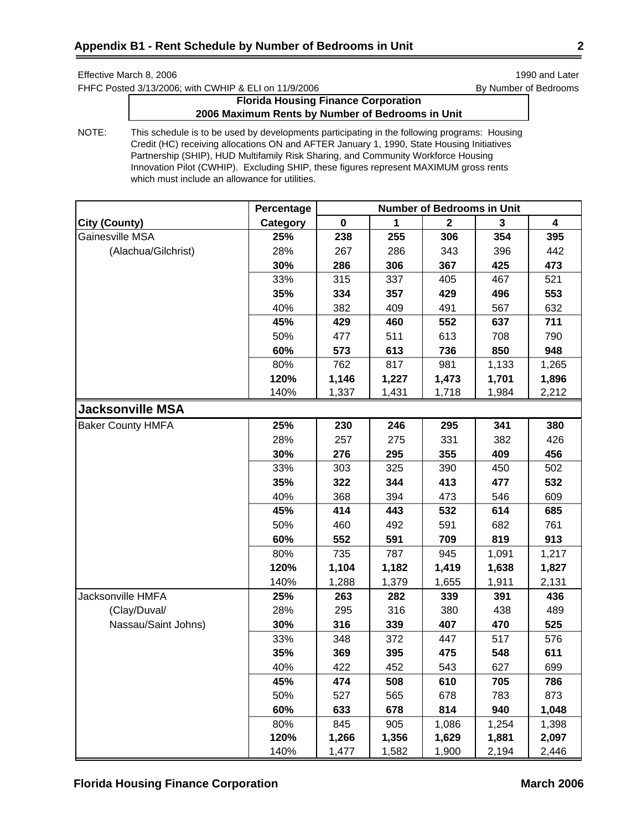FHFC Posted 3/13/2006; with CWHIP & ELI on 11/9/2006 By Number of Bedrooms

# **Florida Housing Finance Corporation 2006 Maximum Rents by Number of Bedrooms in Unit**

|                          | Percentage | <b>Number of Bedrooms in Unit</b> |       |                         |       |                         |
|--------------------------|------------|-----------------------------------|-------|-------------------------|-------|-------------------------|
| <b>City (County)</b>     | Category   | $\mathbf 0$                       | 1     | $\overline{\mathbf{2}}$ | 3     | $\overline{\mathbf{4}}$ |
| Gainesville MSA          | 25%        | 238                               | 255   | 306                     | 354   | 395                     |
| (Alachua/Gilchrist)      | 28%        | 267                               | 286   | 343                     | 396   | 442                     |
|                          | 30%        | 286                               | 306   | 367                     | 425   | 473                     |
|                          | 33%        | 315                               | 337   | 405                     | 467   | 521                     |
|                          | 35%        | 334                               | 357   | 429                     | 496   | 553                     |
|                          | 40%        | 382                               | 409   | 491                     | 567   | 632                     |
|                          | 45%        | 429                               | 460   | 552                     | 637   | 711                     |
|                          | 50%        | 477                               | 511   | 613                     | 708   | 790                     |
|                          | 60%        | 573                               | 613   | 736                     | 850   | 948                     |
|                          | 80%        | 762                               | 817   | 981                     | 1,133 | 1,265                   |
|                          | 120%       | 1,146                             | 1,227 | 1,473                   | 1,701 | 1,896                   |
|                          | 140%       | 1,337                             | 1,431 | 1,718                   | 1,984 | 2,212                   |
| <b>Jacksonville MSA</b>  |            |                                   |       |                         |       |                         |
| <b>Baker County HMFA</b> | 25%        | 230                               | 246   | 295                     | 341   | 380                     |
|                          | 28%        | 257                               | 275   | 331                     | 382   | 426                     |
|                          | 30%        | 276                               | 295   | 355                     | 409   | 456                     |
|                          | 33%        | 303                               | 325   | 390                     | 450   | 502                     |
|                          | 35%        | 322                               | 344   | 413                     | 477   | 532                     |
|                          | 40%        | 368                               | 394   | 473                     | 546   | 609                     |
|                          | 45%        | 414                               | 443   | 532                     | 614   | 685                     |
|                          | 50%        | 460                               | 492   | 591                     | 682   | 761                     |
|                          | 60%        | 552                               | 591   | 709                     | 819   | 913                     |
|                          | 80%        | 735                               | 787   | 945                     | 1,091 | 1,217                   |
|                          | 120%       | 1,104                             | 1,182 | 1,419                   | 1,638 | 1,827                   |
|                          | 140%       | 1,288                             | 1,379 | 1,655                   | 1,911 | 2,131                   |
| Jacksonville HMFA        | 25%        | 263                               | 282   | 339                     | 391   | 436                     |
| (Clay/Duval/             | 28%        | 295                               | 316   | 380                     | 438   | 489                     |
| Nassau/Saint Johns)      | 30%        | 316                               | 339   | 407                     | 470   | 525                     |
|                          | 33%        | 348                               | 372   | 447                     | 517   | 576                     |
|                          | 35%        | 369                               | 395   | 475                     | 548   | 611                     |
|                          | 40%        | 422                               | 452   | 543                     | 627   | 699                     |
|                          | 45%        | 474                               | 508   | 610                     | 705   | 786                     |
|                          | 50%        | 527                               | 565   | 678                     | 783   | 873                     |
|                          | 60%        | 633                               | 678   | 814                     | 940   | 1,048                   |
|                          | 80%        | 845                               | 905   | 1,086                   | 1,254 | 1,398                   |
|                          | 120%       | 1,266                             | 1,356 | 1,629                   | 1,881 | 2,097                   |
|                          | 140%       | 1,477                             | 1,582 | 1,900                   | 2,194 | 2,446                   |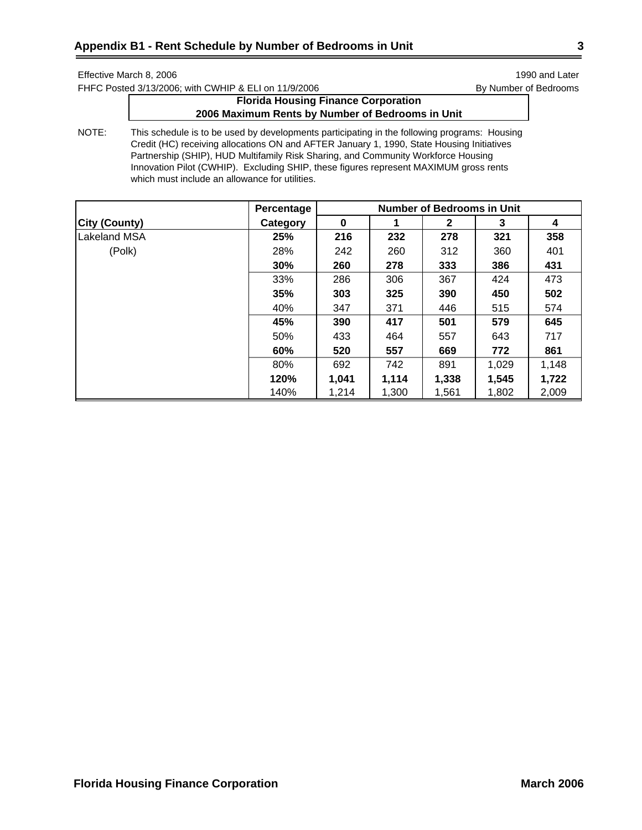FHFC Posted 3/13/2006; with CWHIP & ELI on 11/9/2006 By Number of Bedrooms

# **Florida Housing Finance Corporation 2006 Maximum Rents by Number of Bedrooms in Unit**

|                      | Percentage | <b>Number of Bedrooms in Unit</b> |       |              |       |       |  |
|----------------------|------------|-----------------------------------|-------|--------------|-------|-------|--|
| <b>City (County)</b> | Category   | $\bf{0}$                          |       | $\mathbf{2}$ | 3     | 4     |  |
| <b>Lakeland MSA</b>  | 25%        | 216                               | 232   | 278          | 321   | 358   |  |
| (Polk)               | 28%        | 242                               | 260   | 312          | 360   | 401   |  |
|                      | 30%        | 260                               | 278   | 333          | 386   | 431   |  |
|                      | 33%        | 286                               | 306   | 367          | 424   | 473   |  |
|                      | 35%        | 303                               | 325   | 390          | 450   | 502   |  |
|                      | 40%        | 347                               | 371   | 446          | 515   | 574   |  |
|                      | 45%        | 390                               | 417   | 501          | 579   | 645   |  |
|                      | 50%        | 433                               | 464   | 557          | 643   | 717   |  |
|                      | 60%        | 520                               | 557   | 669          | 772   | 861   |  |
|                      | 80%        | 692                               | 742   | 891          | 1,029 | 1,148 |  |
|                      | 120%       | 1,041                             | 1,114 | 1,338        | 1,545 | 1,722 |  |
|                      | 140%       | 1,214                             | 1,300 | 1,561        | 1,802 | 2,009 |  |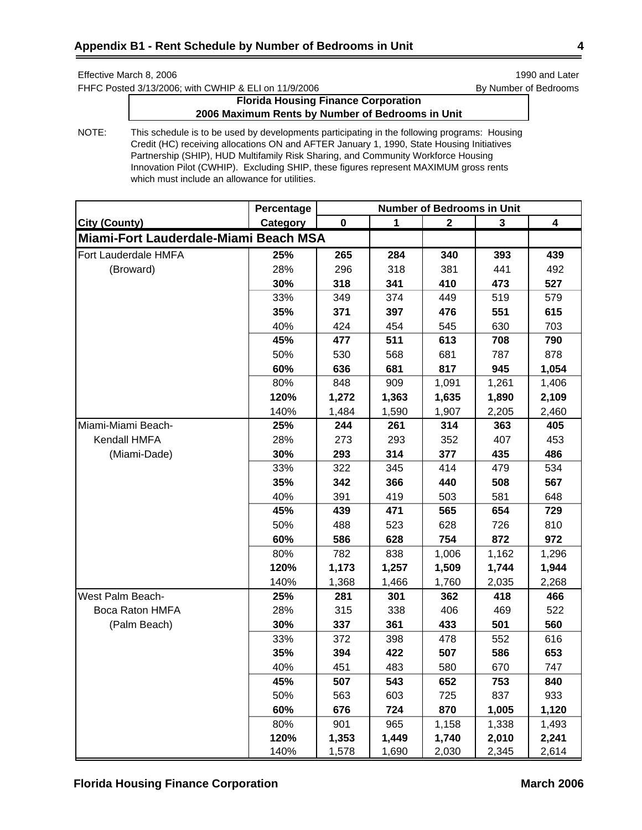FHFC Posted 3/13/2006; with CWHIP & ELI on 11/9/2006 By Number of Bedrooms

# **Florida Housing Finance Corporation 2006 Maximum Rents by Number of Bedrooms in Unit**

|                                       | Percentage | <b>Number of Bedrooms in Unit</b> |              |              |              |       |
|---------------------------------------|------------|-----------------------------------|--------------|--------------|--------------|-------|
| <b>City (County)</b>                  | Category   | $\mathbf 0$                       | $\mathbf{1}$ | $\mathbf{2}$ | $\mathbf{3}$ | 4     |
| Miami-Fort Lauderdale-Miami Beach MSA |            |                                   |              |              |              |       |
| Fort Lauderdale HMFA                  | 25%        | 265                               | 284          | 340          | 393          | 439   |
| (Broward)                             | 28%        | 296                               | 318          | 381          | 441          | 492   |
|                                       | 30%        | 318                               | 341          | 410          | 473          | 527   |
|                                       | 33%        | 349                               | 374          | 449          | 519          | 579   |
|                                       | 35%        | 371                               | 397          | 476          | 551          | 615   |
|                                       | 40%        | 424                               | 454          | 545          | 630          | 703   |
|                                       | 45%        | 477                               | 511          | 613          | 708          | 790   |
|                                       | 50%        | 530                               | 568          | 681          | 787          | 878   |
|                                       | 60%        | 636                               | 681          | 817          | 945          | 1,054 |
|                                       | 80%        | 848                               | 909          | 1,091        | 1,261        | 1,406 |
|                                       | 120%       | 1,272                             | 1,363        | 1,635        | 1,890        | 2,109 |
|                                       | 140%       | 1,484                             | 1,590        | 1,907        | 2,205        | 2,460 |
| Miami-Miami Beach-                    | 25%        | 244                               | 261          | 314          | 363          | 405   |
| Kendall HMFA                          | 28%        | 273                               | 293          | 352          | 407          | 453   |
| (Miami-Dade)                          | 30%        | 293                               | 314          | 377          | 435          | 486   |
|                                       | 33%        | 322                               | 345          | 414          | 479          | 534   |
|                                       | 35%        | 342                               | 366          | 440          | 508          | 567   |
|                                       | 40%        | 391                               | 419          | 503          | 581          | 648   |
|                                       | 45%        | 439                               | 471          | 565          | 654          | 729   |
|                                       | 50%        | 488                               | 523          | 628          | 726          | 810   |
|                                       | 60%        | 586                               | 628          | 754          | 872          | 972   |
|                                       | 80%        | 782                               | 838          | 1,006        | 1,162        | 1,296 |
|                                       | 120%       | 1,173                             | 1,257        | 1,509        | 1,744        | 1,944 |
|                                       | 140%       | 1,368                             | 1,466        | 1,760        | 2,035        | 2,268 |
| West Palm Beach-                      | 25%        | 281                               | 301          | 362          | 418          | 466   |
| Boca Raton HMFA                       | 28%        | 315                               | 338          | 406          | 469          | 522   |
| (Palm Beach)                          | 30%        | 337                               | 361          | 433          | 501          | 560   |
|                                       | 33%        | 372                               | 398          | 478          | 552          | 616   |
|                                       | 35%        | 394                               | 422          | 507          | 586          | 653   |
|                                       | 40%        | 451                               | 483          | 580          | 670          | 747   |
|                                       | 45%        | 507                               | 543          | 652          | 753          | 840   |
|                                       | 50%        | 563                               | 603          | 725          | 837          | 933   |
|                                       | 60%        | 676                               | 724          | 870          | 1,005        | 1,120 |
|                                       | 80%        | 901                               | 965          | 1,158        | 1,338        | 1,493 |
|                                       | 120%       | 1,353                             | 1,449        | 1,740        | 2,010        | 2,241 |
|                                       | 140%       | 1,578                             | 1,690        | 2,030        | 2,345        | 2,614 |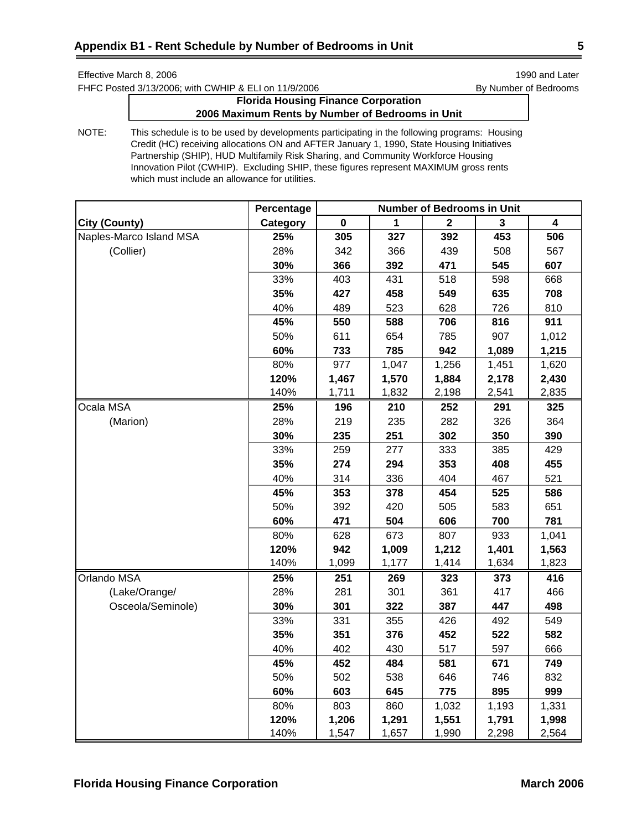FHFC Posted 3/13/2006; with CWHIP & ELI on 11/9/2006 By Number of Bedrooms

# **Florida Housing Finance Corporation 2006 Maximum Rents by Number of Bedrooms in Unit**

|                         | Percentage | <b>Number of Bedrooms in Unit</b> |       |             |       |                         |
|-------------------------|------------|-----------------------------------|-------|-------------|-------|-------------------------|
| <b>City (County)</b>    | Category   | 0                                 | 1     | $\mathbf 2$ | 3     | $\overline{\mathbf{4}}$ |
| Naples-Marco Island MSA | 25%        | 305                               | 327   | 392         | 453   | 506                     |
| (Collier)               | 28%        | 342                               | 366   | 439         | 508   | 567                     |
|                         | 30%        | 366                               | 392   | 471         | 545   | 607                     |
|                         | 33%        | 403                               | 431   | 518         | 598   | 668                     |
|                         | 35%        | 427                               | 458   | 549         | 635   | 708                     |
|                         | 40%        | 489                               | 523   | 628         | 726   | 810                     |
|                         | 45%        | 550                               | 588   | 706         | 816   | 911                     |
|                         | 50%        | 611                               | 654   | 785         | 907   | 1,012                   |
|                         | 60%        | 733                               | 785   | 942         | 1,089 | 1,215                   |
|                         | 80%        | 977                               | 1,047 | 1,256       | 1,451 | 1,620                   |
|                         | 120%       | 1,467                             | 1,570 | 1,884       | 2,178 | 2,430                   |
|                         | 140%       | 1,711                             | 1,832 | 2,198       | 2,541 | 2,835                   |
| Ocala MSA               | 25%        | 196                               | 210   | 252         | 291   | 325                     |
| (Marion)                | 28%        | 219                               | 235   | 282         | 326   | 364                     |
|                         | 30%        | 235                               | 251   | 302         | 350   | 390                     |
|                         | 33%        | 259                               | 277   | 333         | 385   | 429                     |
|                         | 35%        | 274                               | 294   | 353         | 408   | 455                     |
|                         | 40%        | 314                               | 336   | 404         | 467   | 521                     |
|                         | 45%        | 353                               | 378   | 454         | 525   | 586                     |
|                         | 50%        | 392                               | 420   | 505         | 583   | 651                     |
|                         | 60%        | 471                               | 504   | 606         | 700   | 781                     |
|                         | 80%        | 628                               | 673   | 807         | 933   | 1,041                   |
|                         | 120%       | 942                               | 1,009 | 1,212       | 1,401 | 1,563                   |
|                         | 140%       | 1,099                             | 1,177 | 1,414       | 1,634 | 1,823                   |
| <b>Orlando MSA</b>      | 25%        | 251                               | 269   | 323         | 373   | 416                     |
| (Lake/Orange/           | 28%        | 281                               | 301   | 361         | 417   | 466                     |
| Osceola/Seminole)       | 30%        | 301                               | 322   | 387         | 447   | 498                     |
|                         | 33%        | 331                               | 355   | 426         | 492   | 549                     |
|                         | 35%        | 351                               | 376   | 452         | 522   | 582                     |
|                         | 40%        | 402                               | 430   | 517         | 597   | 666                     |
|                         | 45%        | 452                               | 484   | 581         | 671   | 749                     |
|                         | 50%        | 502                               | 538   | 646         | 746   | 832                     |
|                         | 60%        | 603                               | 645   | 775         | 895   | 999                     |
|                         | 80%        | 803                               | 860   | 1,032       | 1,193 | 1,331                   |
|                         | 120%       | 1,206                             | 1,291 | 1,551       | 1,791 | 1,998                   |
|                         | 140%       | 1,547                             | 1,657 | 1,990       | 2,298 | 2,564                   |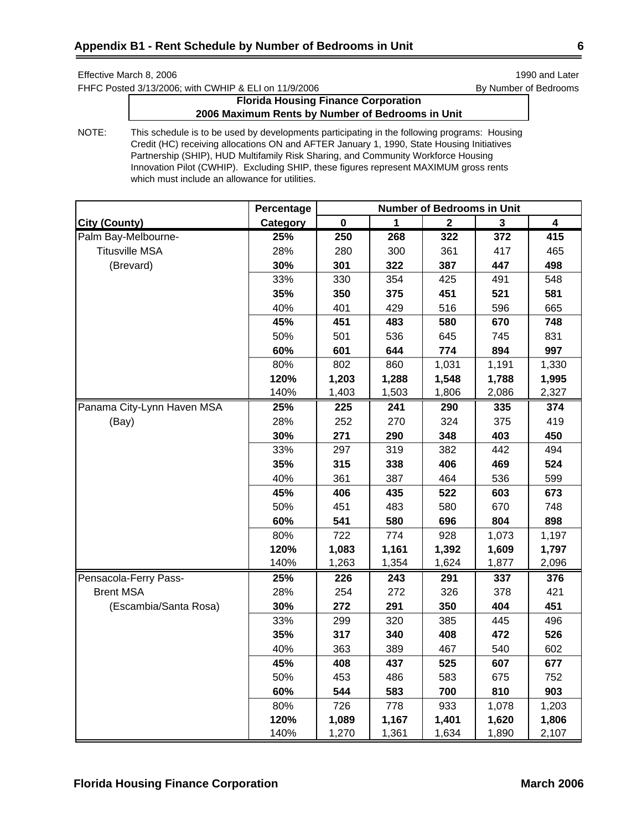FHFC Posted 3/13/2006; with CWHIP & ELI on 11/9/2006 By Number of Bedrooms

# **Florida Housing Finance Corporation 2006 Maximum Rents by Number of Bedrooms in Unit**

|                            | Percentage | <b>Number of Bedrooms in Unit</b> |       |             |       |                         |  |
|----------------------------|------------|-----------------------------------|-------|-------------|-------|-------------------------|--|
| City (County)              | Category   | $\mathbf 0$                       |       | $\mathbf 2$ | 3     | $\overline{\mathbf{4}}$ |  |
| Palm Bay-Melbourne-        | 25%        | 250                               | 268   | 322         | 372   | 415                     |  |
| <b>Titusville MSA</b>      | 28%        | 280                               | 300   | 361         | 417   | 465                     |  |
| (Brevard)                  | 30%        | 301                               | 322   | 387         | 447   | 498                     |  |
|                            | 33%        | 330                               | 354   | 425         | 491   | 548                     |  |
|                            | 35%        | 350                               | 375   | 451         | 521   | 581                     |  |
|                            | 40%        | 401                               | 429   | 516         | 596   | 665                     |  |
|                            | 45%        | 451                               | 483   | 580         | 670   | 748                     |  |
|                            | 50%        | 501                               | 536   | 645         | 745   | 831                     |  |
|                            | 60%        | 601                               | 644   | 774         | 894   | 997                     |  |
|                            | 80%        | 802                               | 860   | 1,031       | 1,191 | 1,330                   |  |
|                            | 120%       | 1,203                             | 1,288 | 1,548       | 1,788 | 1,995                   |  |
|                            | 140%       | 1,403                             | 1,503 | 1,806       | 2,086 | 2,327                   |  |
| Panama City-Lynn Haven MSA | 25%        | $\overline{225}$                  | 241   | 290         | 335   | 374                     |  |
| (Bay)                      | 28%        | 252                               | 270   | 324         | 375   | 419                     |  |
|                            | 30%        | 271                               | 290   | 348         | 403   | 450                     |  |
|                            | 33%        | 297                               | 319   | 382         | 442   | 494                     |  |
|                            | 35%        | 315                               | 338   | 406         | 469   | 524                     |  |
|                            | 40%        | 361                               | 387   | 464         | 536   | 599                     |  |
|                            | 45%        | 406                               | 435   | 522         | 603   | 673                     |  |
|                            | 50%        | 451                               | 483   | 580         | 670   | 748                     |  |
|                            | 60%        | 541                               | 580   | 696         | 804   | 898                     |  |
|                            | 80%        | 722                               | 774   | 928         | 1,073 | 1,197                   |  |
|                            | 120%       | 1,083                             | 1,161 | 1,392       | 1,609 | 1,797                   |  |
|                            | 140%       | 1,263                             | 1,354 | 1,624       | 1,877 | 2,096                   |  |
| Pensacola-Ferry Pass-      | 25%        | 226                               | 243   | 291         | 337   | 376                     |  |
| <b>Brent MSA</b>           | 28%        | 254                               | 272   | 326         | 378   | 421                     |  |
| (Escambia/Santa Rosa)      | 30%        | 272                               | 291   | 350         | 404   | 451                     |  |
|                            | 33%        | 299                               | 320   | 385         | 445   | 496                     |  |
|                            | 35%        | 317                               | 340   | 408         | 472   | 526                     |  |
|                            | 40%        | 363                               | 389   | 467         | 540   | 602                     |  |
|                            | 45%        | 408                               | 437   | 525         | 607   | 677                     |  |
|                            | 50%        | 453                               | 486   | 583         | 675   | 752                     |  |
|                            | 60%        | 544                               | 583   | 700         | 810   | 903                     |  |
|                            | 80%        | 726                               | 778   | 933         | 1,078 | 1,203                   |  |
|                            | 120%       | 1,089                             | 1,167 | 1,401       | 1,620 | 1,806                   |  |
|                            | 140%       | 1,270                             | 1,361 | 1,634       | 1,890 | 2,107                   |  |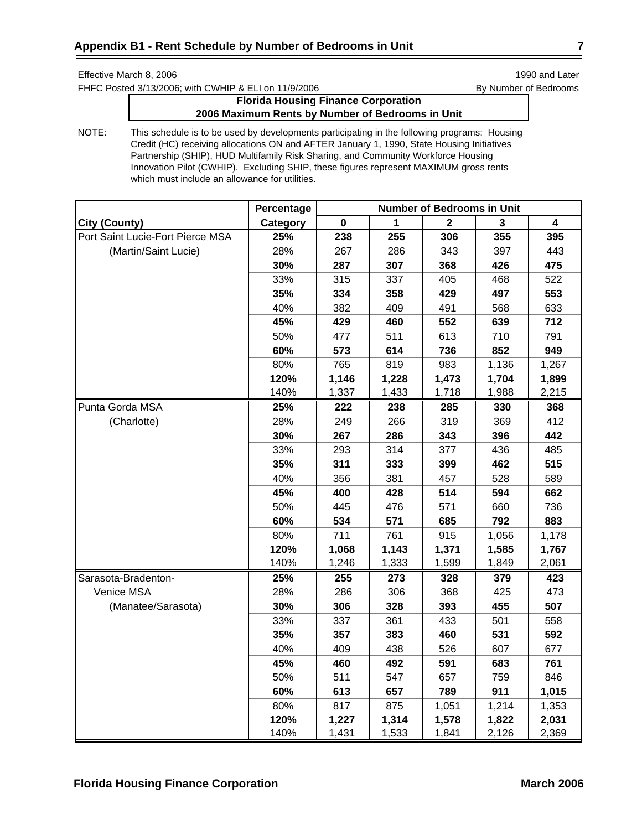FHFC Posted 3/13/2006; with CWHIP & ELI on 11/9/2006 By Number of Bedrooms

# **Florida Housing Finance Corporation 2006 Maximum Rents by Number of Bedrooms in Unit**

|                                  | Percentage | <b>Number of Bedrooms in Unit</b> |       |             |       |       |  |
|----------------------------------|------------|-----------------------------------|-------|-------------|-------|-------|--|
| <b>City (County)</b>             | Category   | $\pmb{0}$                         | 1     | $\mathbf 2$ | 3     | 4     |  |
| Port Saint Lucie-Fort Pierce MSA | 25%        | 238                               | 255   | 306         | 355   | 395   |  |
| (Martin/Saint Lucie)             | 28%        | 267                               | 286   | 343         | 397   | 443   |  |
|                                  | 30%        | 287                               | 307   | 368         | 426   | 475   |  |
|                                  | 33%        | 315                               | 337   | 405         | 468   | 522   |  |
|                                  | 35%        | 334                               | 358   | 429         | 497   | 553   |  |
|                                  | 40%        | 382                               | 409   | 491         | 568   | 633   |  |
|                                  | 45%        | 429                               | 460   | 552         | 639   | 712   |  |
|                                  | 50%        | 477                               | 511   | 613         | 710   | 791   |  |
|                                  | 60%        | 573                               | 614   | 736         | 852   | 949   |  |
|                                  | 80%        | 765                               | 819   | 983         | 1,136 | 1,267 |  |
|                                  | 120%       | 1,146                             | 1,228 | 1,473       | 1,704 | 1,899 |  |
|                                  | 140%       | 1,337                             | 1,433 | 1,718       | 1,988 | 2,215 |  |
| Punta Gorda MSA                  | 25%        | 222                               | 238   | 285         | 330   | 368   |  |
| (Charlotte)                      | 28%        | 249                               | 266   | 319         | 369   | 412   |  |
|                                  | 30%        | 267                               | 286   | 343         | 396   | 442   |  |
|                                  | 33%        | 293                               | 314   | 377         | 436   | 485   |  |
|                                  | 35%        | 311                               | 333   | 399         | 462   | 515   |  |
|                                  | 40%        | 356                               | 381   | 457         | 528   | 589   |  |
|                                  | 45%        | 400                               | 428   | 514         | 594   | 662   |  |
|                                  | 50%        | 445                               | 476   | 571         | 660   | 736   |  |
|                                  | 60%        | 534                               | 571   | 685         | 792   | 883   |  |
|                                  | 80%        | 711                               | 761   | 915         | 1,056 | 1,178 |  |
|                                  | 120%       | 1,068                             | 1,143 | 1,371       | 1,585 | 1,767 |  |
|                                  | 140%       | 1,246                             | 1,333 | 1,599       | 1,849 | 2,061 |  |
| Sarasota-Bradenton-              | 25%        | 255                               | 273   | 328         | 379   | 423   |  |
| Venice MSA                       | 28%        | 286                               | 306   | 368         | 425   | 473   |  |
| (Manatee/Sarasota)               | 30%        | 306                               | 328   | 393         | 455   | 507   |  |
|                                  | 33%        | 337                               | 361   | 433         | 501   | 558   |  |
|                                  | 35%        | 357                               | 383   | 460         | 531   | 592   |  |
|                                  | 40%        | 409                               | 438   | 526         | 607   | 677   |  |
|                                  | 45%        | 460                               | 492   | 591         | 683   | 761   |  |
|                                  | 50%        | 511                               | 547   | 657         | 759   | 846   |  |
|                                  | 60%        | 613                               | 657   | 789         | 911   | 1,015 |  |
|                                  | 80%        | 817                               | 875   | 1,051       | 1,214 | 1,353 |  |
|                                  | 120%       | 1,227                             | 1,314 | 1,578       | 1,822 | 2,031 |  |
|                                  | 140%       | 1,431                             | 1,533 | 1,841       | 2,126 | 2,369 |  |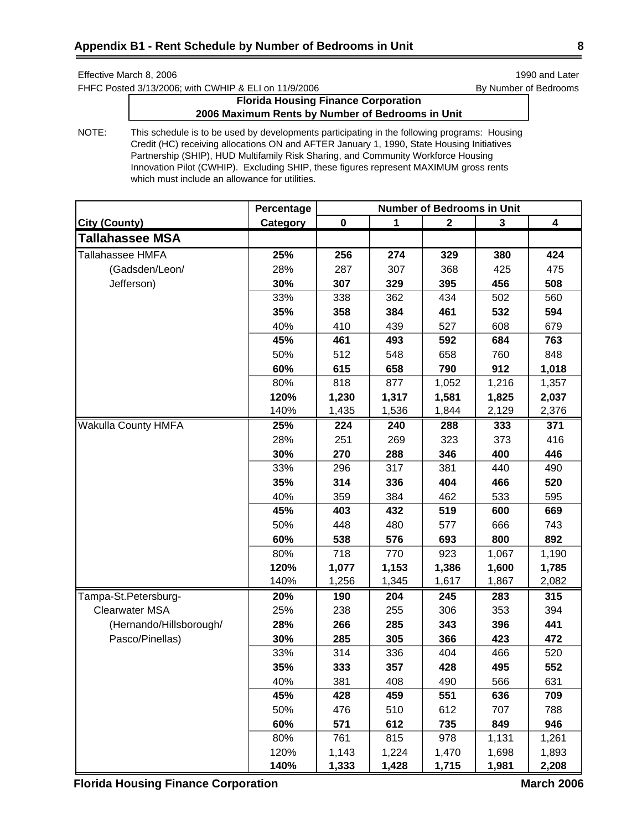FHFC Posted 3/13/2006; with CWHIP & ELI on 11/9/2006 By Number of Bedrooms

# **Florida Housing Finance Corporation 2006 Maximum Rents by Number of Bedrooms in Unit**

NOTE: This schedule is to be used by developments participating in the following programs: Housing Credit (HC) receiving allocations ON and AFTER January 1, 1990, State Housing Initiatives Partnership (SHIP), HUD Multifamily Risk Sharing, and Community Workforce Housing Innovation Pilot (CWHIP). Excluding SHIP, these figures represent MAXIMUM gross rents which must include an allowance for utilities.

|                            | Percentage | <b>Number of Bedrooms in Unit</b> |             |              |       |                  |
|----------------------------|------------|-----------------------------------|-------------|--------------|-------|------------------|
| <b>City (County)</b>       | Category   | $\pmb{0}$                         | $\mathbf 1$ | $\mathbf{2}$ | 3     | $\boldsymbol{4}$ |
| <b>Tallahassee MSA</b>     |            |                                   |             |              |       |                  |
| Tallahassee HMFA           | 25%        | 256                               | 274         | 329          | 380   | 424              |
| (Gadsden/Leon/             | 28%        | 287                               | 307         | 368          | 425   | 475              |
| Jefferson)                 | 30%        | 307                               | 329         | 395          | 456   | 508              |
|                            | 33%        | 338                               | 362         | 434          | 502   | 560              |
|                            | 35%        | 358                               | 384         | 461          | 532   | 594              |
|                            | 40%        | 410                               | 439         | 527          | 608   | 679              |
|                            | 45%        | 461                               | 493         | 592          | 684   | 763              |
|                            | 50%        | 512                               | 548         | 658          | 760   | 848              |
|                            | 60%        | 615                               | 658         | 790          | 912   | 1,018            |
|                            | 80%        | 818                               | 877         | 1,052        | 1,216 | 1,357            |
|                            | 120%       | 1,230                             | 1,317       | 1,581        | 1,825 | 2,037            |
|                            | 140%       | 1,435                             | 1,536       | 1,844        | 2,129 | 2,376            |
| <b>Wakulla County HMFA</b> | 25%        | 224                               | 240         | 288          | 333   | 371              |
|                            | 28%        | 251                               | 269         | 323          | 373   | 416              |
|                            | 30%        | 270                               | 288         | 346          | 400   | 446              |
|                            | 33%        | 296                               | 317         | 381          | 440   | 490              |
|                            | 35%        | 314                               | 336         | 404          | 466   | 520              |
|                            | 40%        | 359                               | 384         | 462          | 533   | 595              |
|                            | 45%        | 403                               | 432         | 519          | 600   | 669              |
|                            | 50%        | 448                               | 480         | 577          | 666   | 743              |
|                            | 60%        | 538                               | 576         | 693          | 800   | 892              |
|                            | 80%        | 718                               | 770         | 923          | 1,067 | 1,190            |
|                            | 120%       | 1,077                             | 1,153       | 1,386        | 1,600 | 1,785            |
|                            | 140%       | 1,256                             | 1,345       | 1,617        | 1,867 | 2,082            |
| Tampa-St.Petersburg-       | 20%        | 190                               | 204         | 245          | 283   | 315              |
| <b>Clearwater MSA</b>      | 25%        | 238                               | 255         | 306          | 353   | 394              |
| (Hernando/Hillsborough/    | 28%        | 266                               | 285         | 343          | 396   | 441              |
| Pasco/Pinellas)            | 30%        | 285                               | 305         | 366          | 423   | 472              |
|                            | 33%        | 314                               | 336         | 404          | 466   | 520              |
|                            | 35%        | 333                               | 357         | 428          | 495   | 552              |
|                            | 40%        | 381                               | 408         | 490          | 566   | 631              |
|                            | 45%        | 428                               | 459         | 551          | 636   | 709              |
|                            | 50%        | 476                               | 510         | 612          | 707   | 788              |
|                            | 60%        | 571                               | 612         | 735          | 849   | 946              |
|                            | 80%        | 761                               | 815         | 978          | 1,131 | 1,261            |
|                            | 120%       | 1,143                             | 1,224       | 1,470        | 1,698 | 1,893            |
|                            | 140%       | 1,333                             | 1,428       | 1,715        | 1,981 | 2,208            |

**Florida Housing Finance Corporation March 2006** March 2006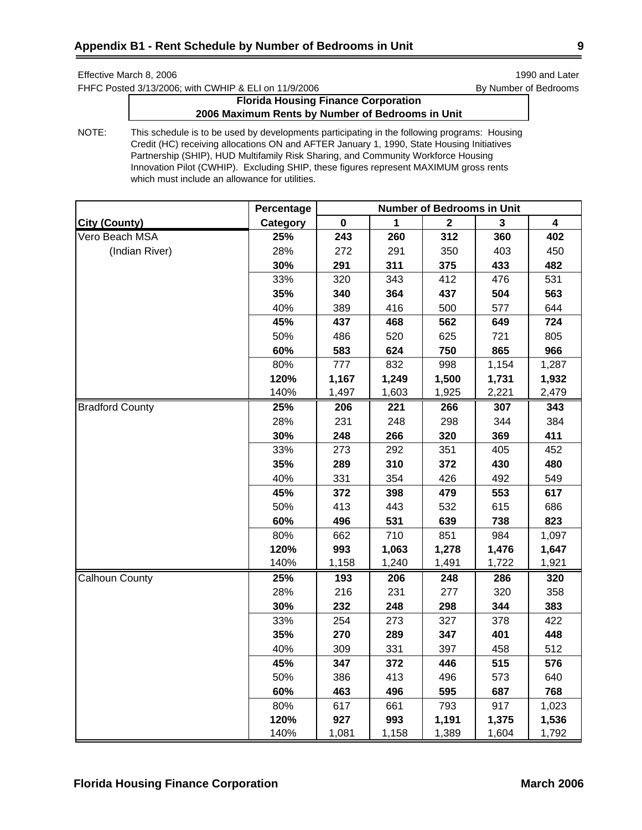FHFC Posted 3/13/2006; with CWHIP & ELI on 11/9/2006 By Number of Bedrooms

# **Florida Housing Finance Corporation 2006 Maximum Rents by Number of Bedrooms in Unit**

|                        | Percentage | <b>Number of Bedrooms in Unit</b> |       |                  |       |       |
|------------------------|------------|-----------------------------------|-------|------------------|-------|-------|
| <b>City (County)</b>   | Category   | 0                                 | 1     | $\boldsymbol{2}$ | 3     | 4     |
| Vero Beach MSA         | 25%        | 243                               | 260   | 312              | 360   | 402   |
| (Indian River)         | 28%        | 272                               | 291   | 350              | 403   | 450   |
|                        | 30%        | 291                               | 311   | 375              | 433   | 482   |
|                        | 33%        | 320                               | 343   | 412              | 476   | 531   |
|                        | 35%        | 340                               | 364   | 437              | 504   | 563   |
|                        | 40%        | 389                               | 416   | 500              | 577   | 644   |
|                        | 45%        | 437                               | 468   | 562              | 649   | 724   |
|                        | 50%        | 486                               | 520   | 625              | 721   | 805   |
|                        | 60%        | 583                               | 624   | 750              | 865   | 966   |
|                        | 80%        | 777                               | 832   | 998              | 1,154 | 1,287 |
|                        | 120%       | 1,167                             | 1,249 | 1,500            | 1,731 | 1,932 |
|                        | 140%       | 1,497                             | 1,603 | 1,925            | 2,221 | 2,479 |
| <b>Bradford County</b> | 25%        | 206                               | 221   | 266              | 307   | 343   |
|                        | 28%        | 231                               | 248   | 298              | 344   | 384   |
|                        | 30%        | 248                               | 266   | 320              | 369   | 411   |
|                        | 33%        | 273                               | 292   | 351              | 405   | 452   |
|                        | 35%        | 289                               | 310   | 372              | 430   | 480   |
|                        | 40%        | 331                               | 354   | 426              | 492   | 549   |
|                        | 45%        | 372                               | 398   | 479              | 553   | 617   |
|                        | 50%        | 413                               | 443   | 532              | 615   | 686   |
|                        | 60%        | 496                               | 531   | 639              | 738   | 823   |
|                        | 80%        | 662                               | 710   | 851              | 984   | 1,097 |
|                        | 120%       | 993                               | 1,063 | 1,278            | 1,476 | 1,647 |
|                        | 140%       | 1,158                             | 1,240 | 1,491            | 1,722 | 1,921 |
| Calhoun County         | 25%        | 193                               | 206   | 248              | 286   | 320   |
|                        | 28%        | 216                               | 231   | 277              | 320   | 358   |
|                        | 30%        | 232                               | 248   | 298              | 344   | 383   |
|                        | 33%        | 254                               | 273   | 327              | 378   | 422   |
|                        | 35%        | 270                               | 289   | 347              | 401   | 448   |
|                        | 40%        | 309                               | 331   | 397              | 458   | 512   |
|                        | 45%        | 347                               | 372   | 446              | 515   | 576   |
|                        | 50%        | 386                               | 413   | 496              | 573   | 640   |
|                        | 60%        | 463                               | 496   | 595              | 687   | 768   |
|                        | 80%        | 617                               | 661   | 793              | 917   | 1,023 |
|                        | 120%       | 927                               | 993   | 1,191            | 1,375 | 1,536 |
|                        | 140%       | 1,081                             | 1,158 | 1,389            | 1,604 | 1,792 |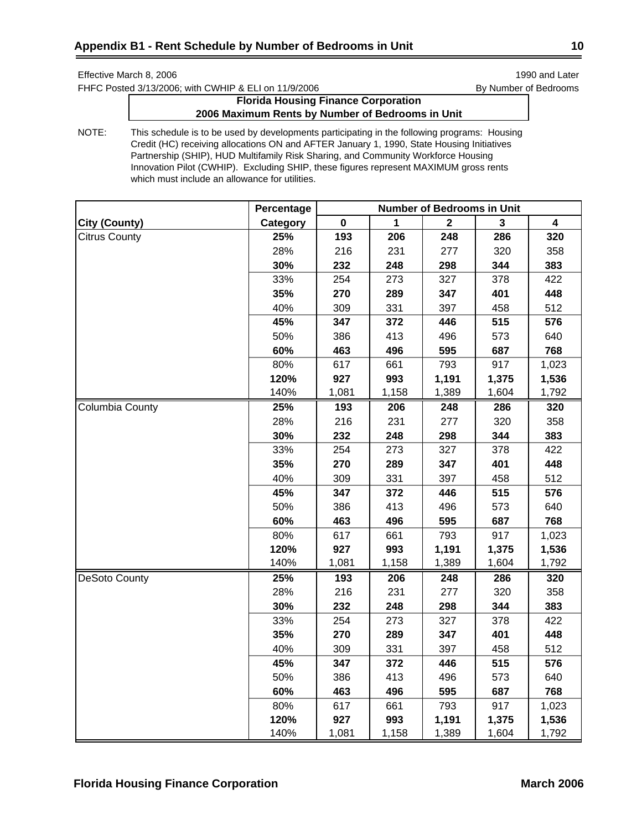FHFC Posted 3/13/2006; with CWHIP & ELI on 11/9/2006 By Number of Bedrooms

# **Florida Housing Finance Corporation 2006 Maximum Rents by Number of Bedrooms in Unit**

|                        | Percentage | <b>Number of Bedrooms in Unit</b> |       |              |       |                         |
|------------------------|------------|-----------------------------------|-------|--------------|-------|-------------------------|
| <b>City (County)</b>   | Category   | $\mathbf 0$                       | 1     | $\mathbf{2}$ | 3     | $\overline{\mathbf{4}}$ |
| <b>Citrus County</b>   | 25%        | 193                               | 206   | 248          | 286   | 320                     |
|                        | 28%        | 216                               | 231   | 277          | 320   | 358                     |
|                        | 30%        | 232                               | 248   | 298          | 344   | 383                     |
|                        | 33%        | 254                               | 273   | 327          | 378   | 422                     |
|                        | 35%        | 270                               | 289   | 347          | 401   | 448                     |
|                        | 40%        | 309                               | 331   | 397          | 458   | 512                     |
|                        | 45%        | 347                               | 372   | 446          | 515   | 576                     |
|                        | 50%        | 386                               | 413   | 496          | 573   | 640                     |
|                        | 60%        | 463                               | 496   | 595          | 687   | 768                     |
|                        | 80%        | 617                               | 661   | 793          | 917   | 1,023                   |
|                        | 120%       | 927                               | 993   | 1,191        | 1,375 | 1,536                   |
|                        | 140%       | 1,081                             | 1,158 | 1,389        | 1,604 | 1,792                   |
| <b>Columbia County</b> | 25%        | 193                               | 206   | 248          | 286   | 320                     |
|                        | 28%        | 216                               | 231   | 277          | 320   | 358                     |
|                        | 30%        | 232                               | 248   | 298          | 344   | 383                     |
|                        | 33%        | 254                               | 273   | 327          | 378   | 422                     |
|                        | 35%        | 270                               | 289   | 347          | 401   | 448                     |
|                        | 40%        | 309                               | 331   | 397          | 458   | 512                     |
|                        | 45%        | 347                               | 372   | 446          | 515   | 576                     |
|                        | 50%        | 386                               | 413   | 496          | 573   | 640                     |
|                        | 60%        | 463                               | 496   | 595          | 687   | 768                     |
|                        | 80%        | 617                               | 661   | 793          | 917   | 1,023                   |
|                        | 120%       | 927                               | 993   | 1,191        | 1,375 | 1,536                   |
|                        | 140%       | 1,081                             | 1,158 | 1,389        | 1,604 | 1,792                   |
| <b>DeSoto County</b>   | 25%        | 193                               | 206   | 248          | 286   | 320                     |
|                        | 28%        | 216                               | 231   | 277          | 320   | 358                     |
|                        | 30%        | 232                               | 248   | 298          | 344   | 383                     |
|                        | 33%        | 254                               | 273   | 327          | 378   | 422                     |
|                        | 35%        | 270                               | 289   | 347          | 401   | 448                     |
|                        | 40%        | 309                               | 331   | 397          | 458   | 512                     |
|                        | 45%        | 347                               | 372   | 446          | 515   | 576                     |
|                        | 50%        | 386                               | 413   | 496          | 573   | 640                     |
|                        | 60%        | 463                               | 496   | 595          | 687   | 768                     |
|                        | 80%        | 617                               | 661   | 793          | 917   | 1,023                   |
|                        | 120%       | 927                               | 993   | 1,191        | 1,375 | 1,536                   |
|                        | 140%       | 1,081                             | 1,158 | 1,389        | 1,604 | 1,792                   |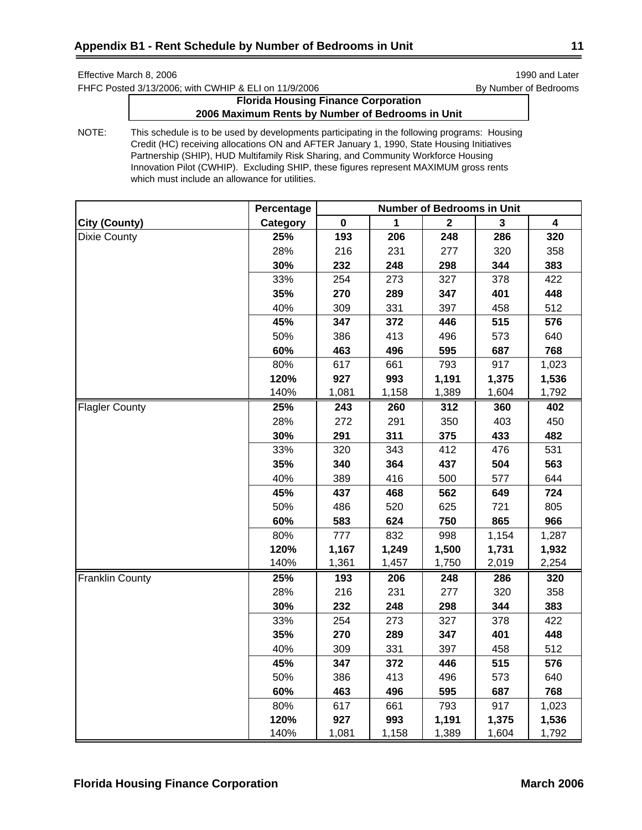FHFC Posted 3/13/2006; with CWHIP & ELI on 11/9/2006 By Number of Bedrooms

# **Florida Housing Finance Corporation 2006 Maximum Rents by Number of Bedrooms in Unit**

|                        | Percentage | <b>Number of Bedrooms in Unit</b> |       |              |       |       |
|------------------------|------------|-----------------------------------|-------|--------------|-------|-------|
| <b>City (County)</b>   | Category   | 0                                 | 1     | $\mathbf{2}$ | 3     | 4     |
| <b>Dixie County</b>    | 25%        | 193                               | 206   | 248          | 286   | 320   |
|                        | 28%        | 216                               | 231   | 277          | 320   | 358   |
|                        | 30%        | 232                               | 248   | 298          | 344   | 383   |
|                        | 33%        | 254                               | 273   | 327          | 378   | 422   |
|                        | 35%        | 270                               | 289   | 347          | 401   | 448   |
|                        | 40%        | 309                               | 331   | 397          | 458   | 512   |
|                        | 45%        | 347                               | 372   | 446          | 515   | 576   |
|                        | 50%        | 386                               | 413   | 496          | 573   | 640   |
|                        | 60%        | 463                               | 496   | 595          | 687   | 768   |
|                        | 80%        | 617                               | 661   | 793          | 917   | 1,023 |
|                        | 120%       | 927                               | 993   | 1,191        | 1,375 | 1,536 |
|                        | 140%       | 1,081                             | 1,158 | 1,389        | 1,604 | 1,792 |
| <b>Flagler County</b>  | 25%        | 243                               | 260   | 312          | 360   | 402   |
|                        | 28%        | 272                               | 291   | 350          | 403   | 450   |
|                        | 30%        | 291                               | 311   | 375          | 433   | 482   |
|                        | 33%        | 320                               | 343   | 412          | 476   | 531   |
|                        | 35%        | 340                               | 364   | 437          | 504   | 563   |
|                        | 40%        | 389                               | 416   | 500          | 577   | 644   |
|                        | 45%        | 437                               | 468   | 562          | 649   | 724   |
|                        | 50%        | 486                               | 520   | 625          | 721   | 805   |
|                        | 60%        | 583                               | 624   | 750          | 865   | 966   |
|                        | 80%        | 777                               | 832   | 998          | 1,154 | 1,287 |
|                        | 120%       | 1,167                             | 1,249 | 1,500        | 1,731 | 1,932 |
|                        | 140%       | 1,361                             | 1,457 | 1,750        | 2,019 | 2,254 |
| <b>Franklin County</b> | 25%        | 193                               | 206   | 248          | 286   | 320   |
|                        | 28%        | 216                               | 231   | 277          | 320   | 358   |
|                        | 30%        | 232                               | 248   | 298          | 344   | 383   |
|                        | 33%        | 254                               | 273   | 327          | 378   | 422   |
|                        | 35%        | 270                               | 289   | 347          | 401   | 448   |
|                        | 40%        | 309                               | 331   | 397          | 458   | 512   |
|                        | 45%        | 347                               | 372   | 446          | 515   | 576   |
|                        | 50%        | 386                               | 413   | 496          | 573   | 640   |
|                        | 60%        | 463                               | 496   | 595          | 687   | 768   |
|                        | 80%        | 617                               | 661   | 793          | 917   | 1,023 |
|                        | 120%       | 927                               | 993   | 1,191        | 1,375 | 1,536 |
|                        | 140%       | 1,081                             | 1,158 | 1,389        | 1,604 | 1,792 |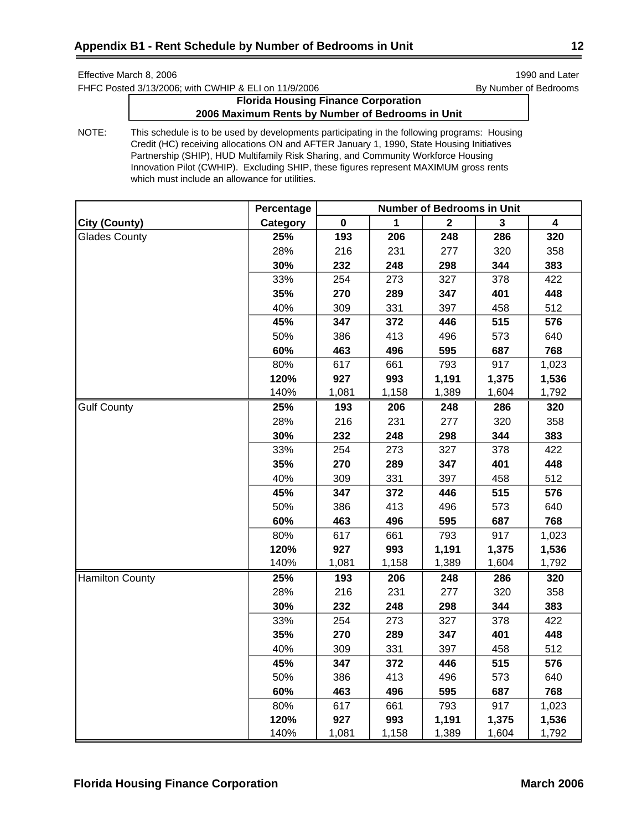FHFC Posted 3/13/2006; with CWHIP & ELI on 11/9/2006 By Number of Bedrooms

# **Florida Housing Finance Corporation 2006 Maximum Rents by Number of Bedrooms in Unit**

|                        | Percentage | <b>Number of Bedrooms in Unit</b> |       |                  |       |       |
|------------------------|------------|-----------------------------------|-------|------------------|-------|-------|
| City (County)          | Category   | 0                                 | 1     | $\boldsymbol{2}$ | 3     | 4     |
| <b>Glades County</b>   | 25%        | 193                               | 206   | 248              | 286   | 320   |
|                        | 28%        | 216                               | 231   | 277              | 320   | 358   |
|                        | 30%        | 232                               | 248   | 298              | 344   | 383   |
|                        | 33%        | 254                               | 273   | 327              | 378   | 422   |
|                        | 35%        | 270                               | 289   | 347              | 401   | 448   |
|                        | 40%        | 309                               | 331   | 397              | 458   | 512   |
|                        | 45%        | 347                               | 372   | 446              | 515   | 576   |
|                        | 50%        | 386                               | 413   | 496              | 573   | 640   |
|                        | 60%        | 463                               | 496   | 595              | 687   | 768   |
|                        | 80%        | 617                               | 661   | 793              | 917   | 1,023 |
|                        | 120%       | 927                               | 993   | 1,191            | 1,375 | 1,536 |
|                        | 140%       | 1,081                             | 1,158 | 1,389            | 1,604 | 1,792 |
| <b>Gulf County</b>     | 25%        | 193                               | 206   | 248              | 286   | 320   |
|                        | 28%        | 216                               | 231   | 277              | 320   | 358   |
|                        | 30%        | 232                               | 248   | 298              | 344   | 383   |
|                        | 33%        | 254                               | 273   | 327              | 378   | 422   |
|                        | 35%        | 270                               | 289   | 347              | 401   | 448   |
|                        | 40%        | 309                               | 331   | 397              | 458   | 512   |
|                        | 45%        | 347                               | 372   | 446              | 515   | 576   |
|                        | 50%        | 386                               | 413   | 496              | 573   | 640   |
|                        | 60%        | 463                               | 496   | 595              | 687   | 768   |
|                        | 80%        | 617                               | 661   | 793              | 917   | 1,023 |
|                        | 120%       | 927                               | 993   | 1,191            | 1,375 | 1,536 |
|                        | 140%       | 1,081                             | 1,158 | 1,389            | 1,604 | 1,792 |
| <b>Hamilton County</b> | 25%        | 193                               | 206   | 248              | 286   | 320   |
|                        | 28%        | 216                               | 231   | 277              | 320   | 358   |
|                        | 30%        | 232                               | 248   | 298              | 344   | 383   |
|                        | 33%        | 254                               | 273   | 327              | 378   | 422   |
|                        | 35%        | 270                               | 289   | 347              | 401   | 448   |
|                        | 40%        | 309                               | 331   | 397              | 458   | 512   |
|                        | 45%        | 347                               | 372   | 446              | 515   | 576   |
|                        | 50%        | 386                               | 413   | 496              | 573   | 640   |
|                        | 60%        | 463                               | 496   | 595              | 687   | 768   |
|                        | 80%        | 617                               | 661   | 793              | 917   | 1,023 |
|                        | 120%       | 927                               | 993   | 1,191            | 1,375 | 1,536 |
|                        | 140%       | 1,081                             | 1,158 | 1,389            | 1,604 | 1,792 |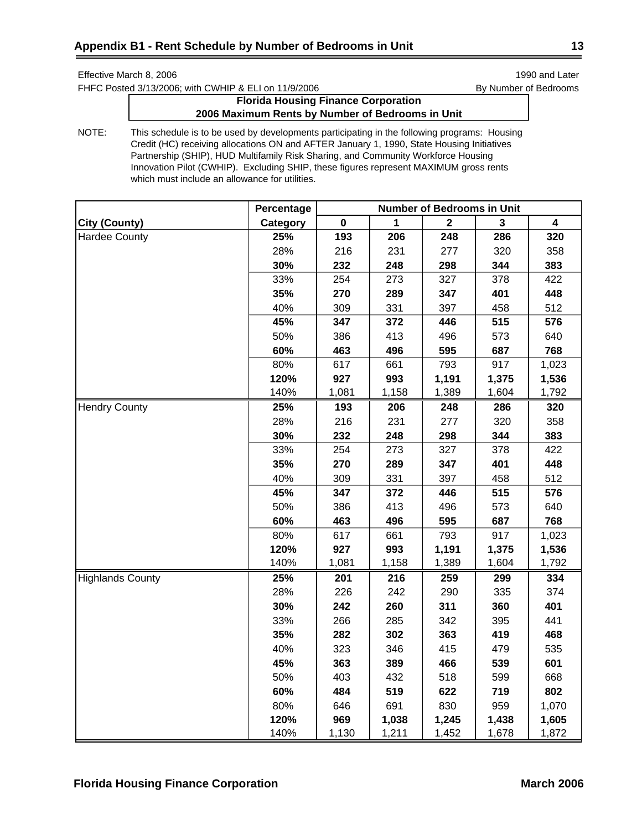FHFC Posted 3/13/2006; with CWHIP & ELI on 11/9/2006 By Number of Bedrooms

# **Florida Housing Finance Corporation 2006 Maximum Rents by Number of Bedrooms in Unit**

|                         | Percentage | <b>Number of Bedrooms in Unit</b> |       |             |       |       |
|-------------------------|------------|-----------------------------------|-------|-------------|-------|-------|
| City (County)           | Category   | $\pmb{0}$                         | 1     | $\mathbf 2$ | 3     | 4     |
| <b>Hardee County</b>    | 25%        | 193                               | 206   | 248         | 286   | 320   |
|                         | 28%        | 216                               | 231   | 277         | 320   | 358   |
|                         | 30%        | 232                               | 248   | 298         | 344   | 383   |
|                         | 33%        | 254                               | 273   | 327         | 378   | 422   |
|                         | 35%        | 270                               | 289   | 347         | 401   | 448   |
|                         | 40%        | 309                               | 331   | 397         | 458   | 512   |
|                         | 45%        | 347                               | 372   | 446         | 515   | 576   |
|                         | 50%        | 386                               | 413   | 496         | 573   | 640   |
|                         | 60%        | 463                               | 496   | 595         | 687   | 768   |
|                         | 80%        | 617                               | 661   | 793         | 917   | 1,023 |
|                         | 120%       | 927                               | 993   | 1,191       | 1,375 | 1,536 |
|                         | 140%       | 1,081                             | 1,158 | 1,389       | 1,604 | 1,792 |
| <b>Hendry County</b>    | 25%        | 193                               | 206   | 248         | 286   | 320   |
|                         | 28%        | 216                               | 231   | 277         | 320   | 358   |
|                         | 30%        | 232                               | 248   | 298         | 344   | 383   |
|                         | 33%        | 254                               | 273   | 327         | 378   | 422   |
|                         | 35%        | 270                               | 289   | 347         | 401   | 448   |
|                         | 40%        | 309                               | 331   | 397         | 458   | 512   |
|                         | 45%        | 347                               | 372   | 446         | 515   | 576   |
|                         | 50%        | 386                               | 413   | 496         | 573   | 640   |
|                         | 60%        | 463                               | 496   | 595         | 687   | 768   |
|                         | 80%        | 617                               | 661   | 793         | 917   | 1,023 |
|                         | 120%       | 927                               | 993   | 1,191       | 1,375 | 1,536 |
|                         | 140%       | 1,081                             | 1,158 | 1,389       | 1,604 | 1,792 |
| <b>Highlands County</b> | 25%        | 201                               | 216   | 259         | 299   | 334   |
|                         | 28%        | 226                               | 242   | 290         | 335   | 374   |
|                         | 30%        | 242                               | 260   | 311         | 360   | 401   |
|                         | 33%        | 266                               | 285   | 342         | 395   | 441   |
|                         | 35%        | 282                               | 302   | 363         | 419   | 468   |
|                         | 40%        | 323                               | 346   | 415         | 479   | 535   |
|                         | 45%        | 363                               | 389   | 466         | 539   | 601   |
|                         | 50%        | 403                               | 432   | 518         | 599   | 668   |
|                         | 60%        | 484                               | 519   | 622         | 719   | 802   |
|                         | 80%        | 646                               | 691   | 830         | 959   | 1,070 |
|                         | 120%       | 969                               | 1,038 | 1,245       | 1,438 | 1,605 |
|                         | 140%       | 1,130                             | 1,211 | 1,452       | 1,678 | 1,872 |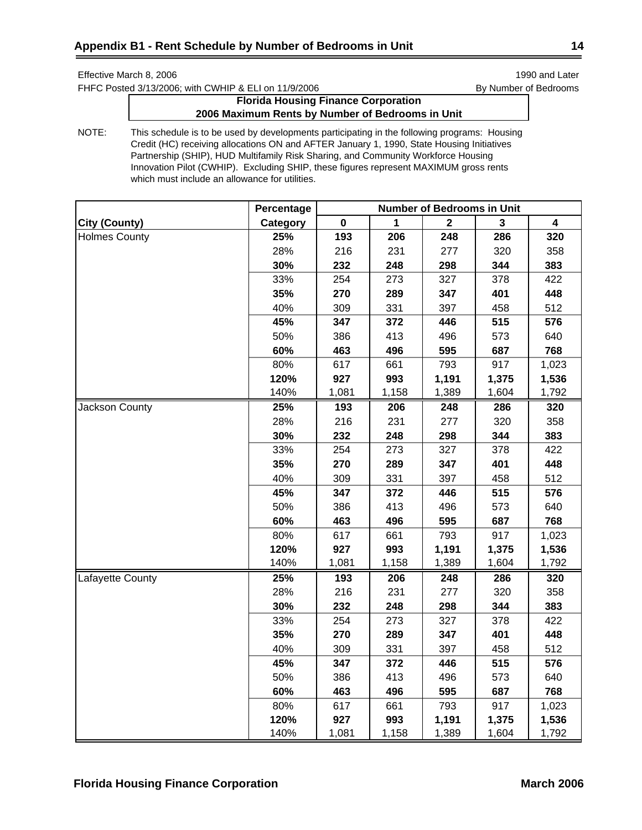FHFC Posted 3/13/2006; with CWHIP & ELI on 11/9/2006 By Number of Bedrooms

# **Florida Housing Finance Corporation 2006 Maximum Rents by Number of Bedrooms in Unit**

|                       | Percentage | <b>Number of Bedrooms in Unit</b> |       |             |       |                         |
|-----------------------|------------|-----------------------------------|-------|-------------|-------|-------------------------|
| <b>City (County)</b>  | Category   | $\pmb{0}$                         | 1     | $\mathbf 2$ | 3     | $\overline{\mathbf{4}}$ |
| <b>Holmes County</b>  | 25%        | 193                               | 206   | 248         | 286   | 320                     |
|                       | 28%        | 216                               | 231   | 277         | 320   | 358                     |
|                       | 30%        | 232                               | 248   | 298         | 344   | 383                     |
|                       | 33%        | 254                               | 273   | 327         | 378   | 422                     |
|                       | 35%        | 270                               | 289   | 347         | 401   | 448                     |
|                       | 40%        | 309                               | 331   | 397         | 458   | 512                     |
|                       | 45%        | 347                               | 372   | 446         | 515   | 576                     |
|                       | 50%        | 386                               | 413   | 496         | 573   | 640                     |
|                       | 60%        | 463                               | 496   | 595         | 687   | 768                     |
|                       | 80%        | 617                               | 661   | 793         | 917   | 1,023                   |
|                       | 120%       | 927                               | 993   | 1,191       | 1,375 | 1,536                   |
|                       | 140%       | 1,081                             | 1,158 | 1,389       | 1,604 | 1,792                   |
| <b>Jackson County</b> | 25%        | 193                               | 206   | 248         | 286   | 320                     |
|                       | 28%        | 216                               | 231   | 277         | 320   | 358                     |
|                       | 30%        | 232                               | 248   | 298         | 344   | 383                     |
|                       | 33%        | 254                               | 273   | 327         | 378   | 422                     |
|                       | 35%        | 270                               | 289   | 347         | 401   | 448                     |
|                       | 40%        | 309                               | 331   | 397         | 458   | 512                     |
|                       | 45%        | 347                               | 372   | 446         | 515   | 576                     |
|                       | 50%        | 386                               | 413   | 496         | 573   | 640                     |
|                       | 60%        | 463                               | 496   | 595         | 687   | 768                     |
|                       | 80%        | 617                               | 661   | 793         | 917   | 1,023                   |
|                       | 120%       | 927                               | 993   | 1,191       | 1,375 | 1,536                   |
|                       | 140%       | 1,081                             | 1,158 | 1,389       | 1,604 | 1,792                   |
| Lafayette County      | 25%        | 193                               | 206   | 248         | 286   | 320                     |
|                       | 28%        | 216                               | 231   | 277         | 320   | 358                     |
|                       | 30%        | 232                               | 248   | 298         | 344   | 383                     |
|                       | 33%        | 254                               | 273   | 327         | 378   | 422                     |
|                       | 35%        | 270                               | 289   | 347         | 401   | 448                     |
|                       | 40%        | 309                               | 331   | 397         | 458   | 512                     |
|                       | 45%        | 347                               | 372   | 446         | 515   | 576                     |
|                       | 50%        | 386                               | 413   | 496         | 573   | 640                     |
|                       | 60%        | 463                               | 496   | 595         | 687   | 768                     |
|                       | 80%        | 617                               | 661   | 793         | 917   | 1,023                   |
|                       | 120%       | 927                               | 993   | 1,191       | 1,375 | 1,536                   |
|                       | 140%       | 1,081                             | 1,158 | 1,389       | 1,604 | 1,792                   |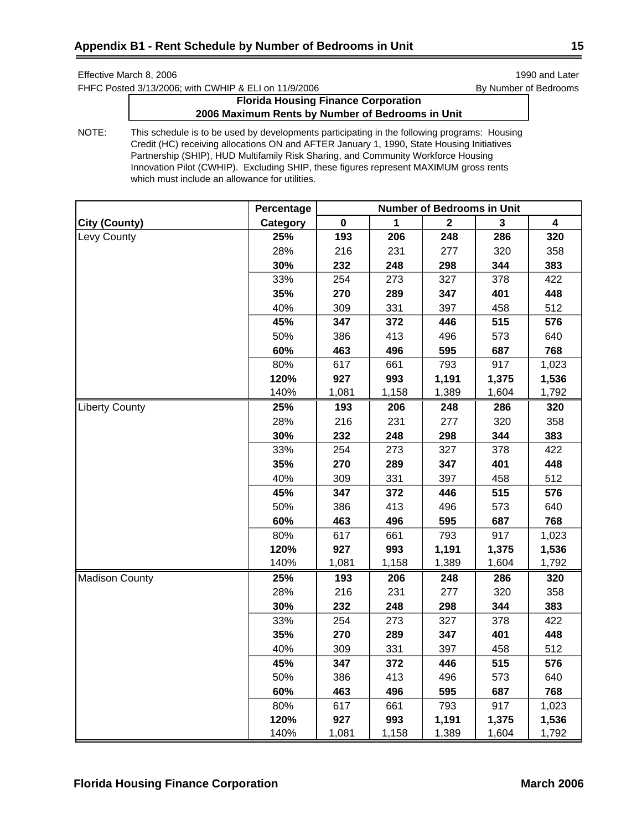FHFC Posted 3/13/2006; with CWHIP & ELI on 11/9/2006 By Number of Bedrooms

# **Florida Housing Finance Corporation 2006 Maximum Rents by Number of Bedrooms in Unit**

|                       | Percentage | <b>Number of Bedrooms in Unit</b> |       |                  |       |       |
|-----------------------|------------|-----------------------------------|-------|------------------|-------|-------|
| City (County)         | Category   | $\pmb{0}$                         | 1     | $\boldsymbol{2}$ | 3     | 4     |
| Levy County           | 25%        | 193                               | 206   | 248              | 286   | 320   |
|                       | 28%        | 216                               | 231   | 277              | 320   | 358   |
|                       | 30%        | 232                               | 248   | 298              | 344   | 383   |
|                       | 33%        | 254                               | 273   | 327              | 378   | 422   |
|                       | 35%        | 270                               | 289   | 347              | 401   | 448   |
|                       | 40%        | 309                               | 331   | 397              | 458   | 512   |
|                       | 45%        | 347                               | 372   | 446              | 515   | 576   |
|                       | 50%        | 386                               | 413   | 496              | 573   | 640   |
|                       | 60%        | 463                               | 496   | 595              | 687   | 768   |
|                       | 80%        | 617                               | 661   | 793              | 917   | 1,023 |
|                       | 120%       | 927                               | 993   | 1,191            | 1,375 | 1,536 |
|                       | 140%       | 1,081                             | 1,158 | 1,389            | 1,604 | 1,792 |
| <b>Liberty County</b> | 25%        | 193                               | 206   | 248              | 286   | 320   |
|                       | 28%        | 216                               | 231   | 277              | 320   | 358   |
|                       | 30%        | 232                               | 248   | 298              | 344   | 383   |
|                       | 33%        | 254                               | 273   | 327              | 378   | 422   |
|                       | 35%        | 270                               | 289   | 347              | 401   | 448   |
|                       | 40%        | 309                               | 331   | 397              | 458   | 512   |
|                       | 45%        | 347                               | 372   | 446              | 515   | 576   |
|                       | 50%        | 386                               | 413   | 496              | 573   | 640   |
|                       | 60%        | 463                               | 496   | 595              | 687   | 768   |
|                       | 80%        | 617                               | 661   | 793              | 917   | 1,023 |
|                       | 120%       | 927                               | 993   | 1,191            | 1,375 | 1,536 |
|                       | 140%       | 1,081                             | 1,158 | 1,389            | 1,604 | 1,792 |
| <b>Madison County</b> | 25%        | 193                               | 206   | 248              | 286   | 320   |
|                       | 28%        | 216                               | 231   | 277              | 320   | 358   |
|                       | 30%        | 232                               | 248   | 298              | 344   | 383   |
|                       | 33%        | 254                               | 273   | 327              | 378   | 422   |
|                       | 35%        | 270                               | 289   | 347              | 401   | 448   |
|                       | 40%        | 309                               | 331   | 397              | 458   | 512   |
|                       | 45%        | 347                               | 372   | 446              | 515   | 576   |
|                       | 50%        | 386                               | 413   | 496              | 573   | 640   |
|                       | 60%        | 463                               | 496   | 595              | 687   | 768   |
|                       | 80%        | 617                               | 661   | 793              | 917   | 1,023 |
|                       | 120%       | 927                               | 993   | 1,191            | 1,375 | 1,536 |
|                       | 140%       | 1,081                             | 1,158 | 1,389            | 1,604 | 1,792 |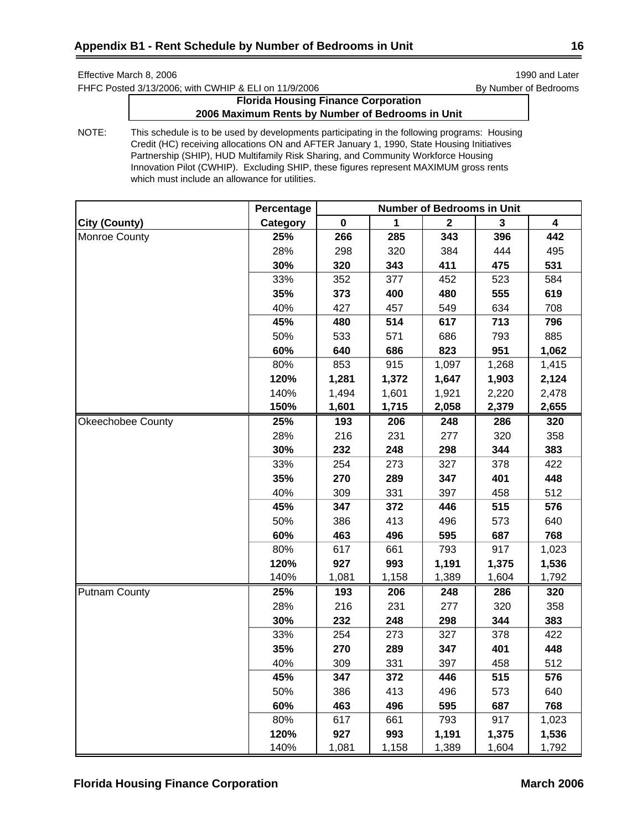FHFC Posted 3/13/2006; with CWHIP & ELI on 11/9/2006 By Number of Bedrooms

# **Florida Housing Finance Corporation 2006 Maximum Rents by Number of Bedrooms in Unit**

|                      | Percentage | <b>Number of Bedrooms in Unit</b> |       |              |       |                         |
|----------------------|------------|-----------------------------------|-------|--------------|-------|-------------------------|
| <b>City (County)</b> | Category   | $\mathbf 0$                       | 1     | $\mathbf{2}$ | 3     | $\overline{\mathbf{4}}$ |
| Monroe County        | 25%        | 266                               | 285   | 343          | 396   | 442                     |
|                      | 28%        | 298                               | 320   | 384          | 444   | 495                     |
|                      | 30%        | 320                               | 343   | 411          | 475   | 531                     |
|                      | 33%        | 352                               | 377   | 452          | 523   | 584                     |
|                      | 35%        | 373                               | 400   | 480          | 555   | 619                     |
|                      | 40%        | 427                               | 457   | 549          | 634   | 708                     |
|                      | 45%        | 480                               | 514   | 617          | 713   | 796                     |
|                      | 50%        | 533                               | 571   | 686          | 793   | 885                     |
|                      | 60%        | 640                               | 686   | 823          | 951   | 1,062                   |
|                      | 80%        | 853                               | 915   | 1,097        | 1,268 | 1,415                   |
|                      | 120%       | 1,281                             | 1,372 | 1,647        | 1,903 | 2,124                   |
|                      | 140%       | 1,494                             | 1,601 | 1,921        | 2,220 | 2,478                   |
|                      | 150%       | 1,601                             | 1,715 | 2,058        | 2,379 | 2,655                   |
| Okeechobee County    | 25%        | 193                               | 206   | 248          | 286   | 320                     |
|                      | 28%        | 216                               | 231   | 277          | 320   | 358                     |
|                      | 30%        | 232                               | 248   | 298          | 344   | 383                     |
|                      | 33%        | 254                               | 273   | 327          | 378   | 422                     |
|                      | 35%        | 270                               | 289   | 347          | 401   | 448                     |
|                      | 40%        | 309                               | 331   | 397          | 458   | 512                     |
|                      | 45%        | 347                               | 372   | 446          | 515   | 576                     |
|                      | 50%        | 386                               | 413   | 496          | 573   | 640                     |
|                      | 60%        | 463                               | 496   | 595          | 687   | 768                     |
|                      | 80%        | 617                               | 661   | 793          | 917   | 1,023                   |
|                      | 120%       | 927                               | 993   | 1,191        | 1,375 | 1,536                   |
|                      | 140%       | 1,081                             | 1,158 | 1,389        | 1,604 | 1,792                   |
| <b>Putnam County</b> | 25%        | 193                               | 206   | 248          | 286   | 320                     |
|                      | 28%        | 216                               | 231   | 277          | 320   | 358                     |
|                      | 30%        | 232                               | 248   | 298          | 344   | 383                     |
|                      | 33%        | 254                               | 273   | 327          | 378   | 422                     |
|                      | 35%        | 270                               | 289   | 347          | 401   | 448                     |
|                      | 40%        | 309                               | 331   | 397          | 458   | 512                     |
|                      | 45%        | 347                               | 372   | 446          | 515   | 576                     |
|                      | 50%        | 386                               | 413   | 496          | 573   | 640                     |
|                      | 60%        | 463                               | 496   | 595          | 687   | 768                     |
|                      | 80%        | 617                               | 661   | 793          | 917   | 1,023                   |
|                      | 120%       | 927                               | 993   | 1,191        | 1,375 | 1,536                   |
|                      | 140%       | 1,081                             | 1,158 | 1,389        | 1,604 | 1,792                   |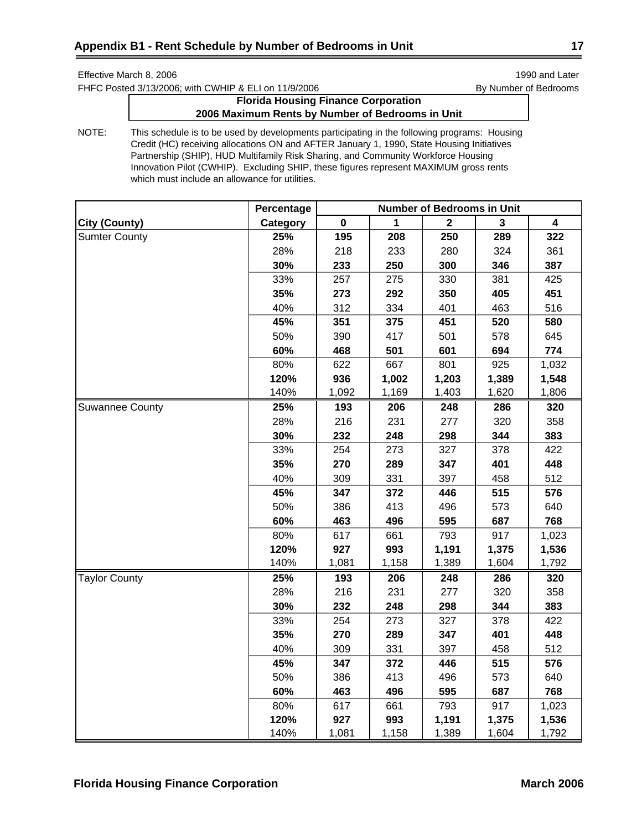FHFC Posted 3/13/2006; with CWHIP & ELI on 11/9/2006 By Number of Bedrooms

# **Florida Housing Finance Corporation 2006 Maximum Rents by Number of Bedrooms in Unit**

|                        | Percentage | <b>Number of Bedrooms in Unit</b> |       |              |       |       |
|------------------------|------------|-----------------------------------|-------|--------------|-------|-------|
| City (County)          | Category   | 0                                 | 1     | $\mathbf{2}$ | 3     | 4     |
| <b>Sumter County</b>   | 25%        | 195                               | 208   | 250          | 289   | 322   |
|                        | 28%        | 218                               | 233   | 280          | 324   | 361   |
|                        | 30%        | 233                               | 250   | 300          | 346   | 387   |
|                        | 33%        | 257                               | 275   | 330          | 381   | 425   |
|                        | 35%        | 273                               | 292   | 350          | 405   | 451   |
|                        | 40%        | 312                               | 334   | 401          | 463   | 516   |
|                        | 45%        | 351                               | 375   | 451          | 520   | 580   |
|                        | 50%        | 390                               | 417   | 501          | 578   | 645   |
|                        | 60%        | 468                               | 501   | 601          | 694   | 774   |
|                        | 80%        | 622                               | 667   | 801          | 925   | 1,032 |
|                        | 120%       | 936                               | 1,002 | 1,203        | 1,389 | 1,548 |
|                        | 140%       | 1,092                             | 1,169 | 1,403        | 1,620 | 1,806 |
| <b>Suwannee County</b> | 25%        | 193                               | 206   | 248          | 286   | 320   |
|                        | 28%        | 216                               | 231   | 277          | 320   | 358   |
|                        | 30%        | 232                               | 248   | 298          | 344   | 383   |
|                        | 33%        | 254                               | 273   | 327          | 378   | 422   |
|                        | 35%        | 270                               | 289   | 347          | 401   | 448   |
|                        | 40%        | 309                               | 331   | 397          | 458   | 512   |
|                        | 45%        | 347                               | 372   | 446          | 515   | 576   |
|                        | 50%        | 386                               | 413   | 496          | 573   | 640   |
|                        | 60%        | 463                               | 496   | 595          | 687   | 768   |
|                        | 80%        | 617                               | 661   | 793          | 917   | 1,023 |
|                        | 120%       | 927                               | 993   | 1,191        | 1,375 | 1,536 |
|                        | 140%       | 1,081                             | 1,158 | 1,389        | 1,604 | 1,792 |
| <b>Taylor County</b>   | 25%        | 193                               | 206   | 248          | 286   | 320   |
|                        | 28%        | 216                               | 231   | 277          | 320   | 358   |
|                        | 30%        | 232                               | 248   | 298          | 344   | 383   |
|                        | 33%        | 254                               | 273   | 327          | 378   | 422   |
|                        | 35%        | 270                               | 289   | 347          | 401   | 448   |
|                        | 40%        | 309                               | 331   | 397          | 458   | 512   |
|                        | 45%        | 347                               | 372   | 446          | 515   | 576   |
|                        | 50%        | 386                               | 413   | 496          | 573   | 640   |
|                        | 60%        | 463                               | 496   | 595          | 687   | 768   |
|                        | 80%        | 617                               | 661   | 793          | 917   | 1,023 |
|                        | 120%       | 927                               | 993   | 1,191        | 1,375 | 1,536 |
|                        | 140%       | 1,081                             | 1,158 | 1,389        | 1,604 | 1,792 |